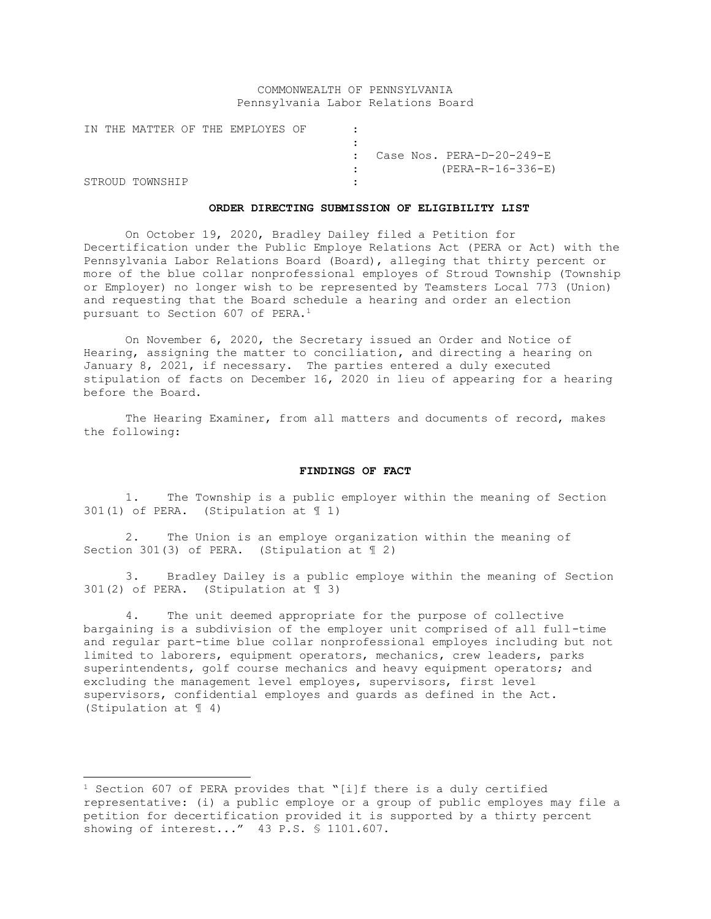# COMMONWEALTH OF PENNSYLVANIA Pennsylvania Labor Relations Board

|  |                 |  | IN THE MATTER OF THE EMPLOYES OF |  |  |  |                                        |
|--|-----------------|--|----------------------------------|--|--|--|----------------------------------------|
|  |                 |  |                                  |  |  |  |                                        |
|  |                 |  |                                  |  |  |  | $\therefore$ Case Nos. PERA-D-20-249-E |
|  |                 |  |                                  |  |  |  | (PERA-R-16-336-E)                      |
|  | STROUD TOWNSHIP |  |                                  |  |  |  |                                        |

### **ORDER DIRECTING SUBMISSION OF ELIGIBILITY LIST**

On October 19, 2020, Bradley Dailey filed a Petition for Decertification under the Public Employe Relations Act (PERA or Act) with the Pennsylvania Labor Relations Board (Board), alleging that thirty percent or more of the blue collar nonprofessional employes of Stroud Township (Township or Employer) no longer wish to be represented by Teamsters Local 773 (Union) and requesting that the Board schedule a hearing and order an election pursuant to Section 607 of PERA.<sup>1</sup>

On November 6, 2020, the Secretary issued an Order and Notice of Hearing, assigning the matter to conciliation, and directing a hearing on January 8, 2021, if necessary. The parties entered a duly executed stipulation of facts on December 16, 2020 in lieu of appearing for a hearing before the Board.

The Hearing Examiner, from all matters and documents of record, makes the following:

## **FINDINGS OF FACT**

1. The Township is a public employer within the meaning of Section 301(1) of PERA. (Stipulation at ¶ 1)

2. The Union is an employe organization within the meaning of Section 301(3) of PERA. (Stipulation at ¶ 2)

3. Bradley Dailey is a public employe within the meaning of Section 301(2) of PERA. (Stipulation at ¶ 3)

4. The unit deemed appropriate for the purpose of collective bargaining is a subdivision of the employer unit comprised of all full-time and regular part-time blue collar nonprofessional employes including but not limited to laborers, equipment operators, mechanics, crew leaders, parks superintendents, golf course mechanics and heavy equipment operators; and excluding the management level employes, supervisors, first level supervisors, confidential employes and guards as defined in the Act. (Stipulation at ¶ 4)

<sup>&</sup>lt;sup>1</sup> Section 607 of PERA provides that "[i]f there is a duly certified representative: (i) a public employe or a group of public employes may file a petition for decertification provided it is supported by a thirty percent showing of interest..." 43 P.S. § 1101.607.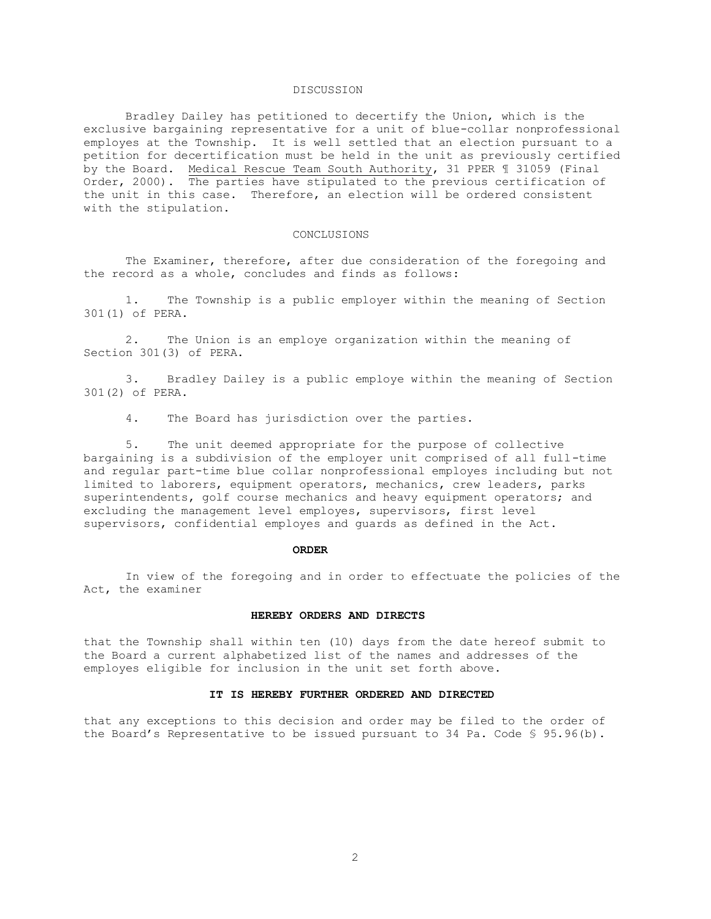## DISCUSSION

Bradley Dailey has petitioned to decertify the Union, which is the exclusive bargaining representative for a unit of blue-collar nonprofessional employes at the Township. It is well settled that an election pursuant to a petition for decertification must be held in the unit as previously certified by the Board. Medical Rescue Team South Authority, 31 PPER ¶ 31059 (Final Order, 2000). The parties have stipulated to the previous certification of the unit in this case. Therefore, an election will be ordered consistent with the stipulation.

### CONCLUSIONS

The Examiner, therefore, after due consideration of the foregoing and the record as a whole, concludes and finds as follows:

1. The Township is a public employer within the meaning of Section 301(1) of PERA.

2. The Union is an employe organization within the meaning of Section 301(3) of PERA.

3. Bradley Dailey is a public employe within the meaning of Section 301(2) of PERA.

4. The Board has jurisdiction over the parties.

5. The unit deemed appropriate for the purpose of collective bargaining is a subdivision of the employer unit comprised of all full-time and regular part-time blue collar nonprofessional employes including but not limited to laborers, equipment operators, mechanics, crew leaders, parks superintendents, golf course mechanics and heavy equipment operators; and excluding the management level employes, supervisors, first level supervisors, confidential employes and guards as defined in the Act.

### **ORDER**

In view of the foregoing and in order to effectuate the policies of the Act, the examiner

#### **HEREBY ORDERS AND DIRECTS**

that the Township shall within ten (10) days from the date hereof submit to the Board a current alphabetized list of the names and addresses of the employes eligible for inclusion in the unit set forth above.

### **IT IS HEREBY FURTHER ORDERED AND DIRECTED**

that any exceptions to this decision and order may be filed to the order of the Board's Representative to be issued pursuant to 34 Pa. Code § 95.96(b).